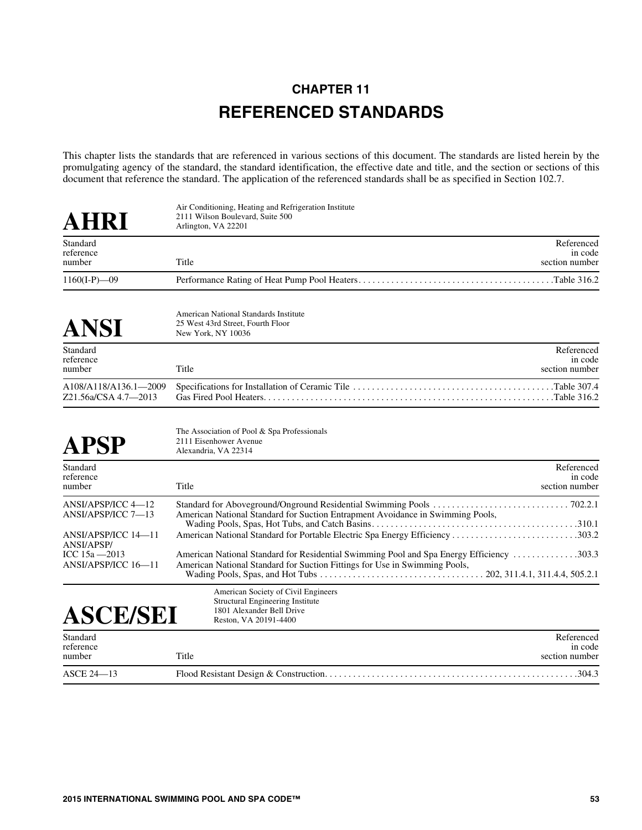## **CHAPTER 11 REFERENCED STANDARDS**

This chapter lists the standards that are referenced in various sections of this document. The standards are listed herein by the promulgating agency of the standard, the standard identification, the effective date and title, and the section or sections of this document that reference the standard. The application of the referenced standards shall be as specified in Section 102.7.

| AHRI                                                            | Air Conditioning, Heating and Refrigeration Institute<br>2111 Wilson Boulevard, Suite 500<br>Arlington, VA 22201                                                              |
|-----------------------------------------------------------------|-------------------------------------------------------------------------------------------------------------------------------------------------------------------------------|
| Standard<br>reference<br>number                                 | Referenced<br>in code<br>Title<br>section number                                                                                                                              |
| $1160(I-P) - 09$                                                |                                                                                                                                                                               |
| ANSI                                                            | American National Standards Institute<br>25 West 43rd Street, Fourth Floor<br>New York, NY 10036                                                                              |
| Standard<br>reference<br>number                                 | Referenced<br>in code<br>Title<br>section number                                                                                                                              |
| A108/A118/A136.1-2009<br>Z21.56a/CSA 4.7-2013                   |                                                                                                                                                                               |
| APSP                                                            | The Association of Pool & Spa Professionals<br>2111 Eisenhower Avenue<br>Alexandria, VA 22314                                                                                 |
| Standard<br>reference<br>number                                 | Referenced<br>in code<br>Title<br>section number                                                                                                                              |
| ANSI/APSP/ICC 4-12<br>ANSI/APSP/ICC 7-13<br>ANSI/APSP/ICC 14-11 | American National Standard for Suction Entrapment Avoidance in Swimming Pools,<br>American National Standard for Portable Electric Spa Energy Efficiency 303.2                |
| <b>ANSI/APSP/</b><br>ICC 15a - 2013<br>ANSI/APSP/ICC 16-11      | 2.303. American National Standard for Residential Swimming Pool and Spa Energy Efficiency 303.3<br>American National Standard for Suction Fittings for Use in Swimming Pools, |
| <b>ASCE/SEI</b>                                                 | American Society of Civil Engineers<br><b>Structural Engineering Institute</b><br>1801 Alexander Bell Drive<br>Reston, VA 20191-4400                                          |
| Standard<br>reference<br>number                                 | Referenced<br>in code<br>Title<br>section number                                                                                                                              |
| <b>ASCE 24-13</b>                                               |                                                                                                                                                                               |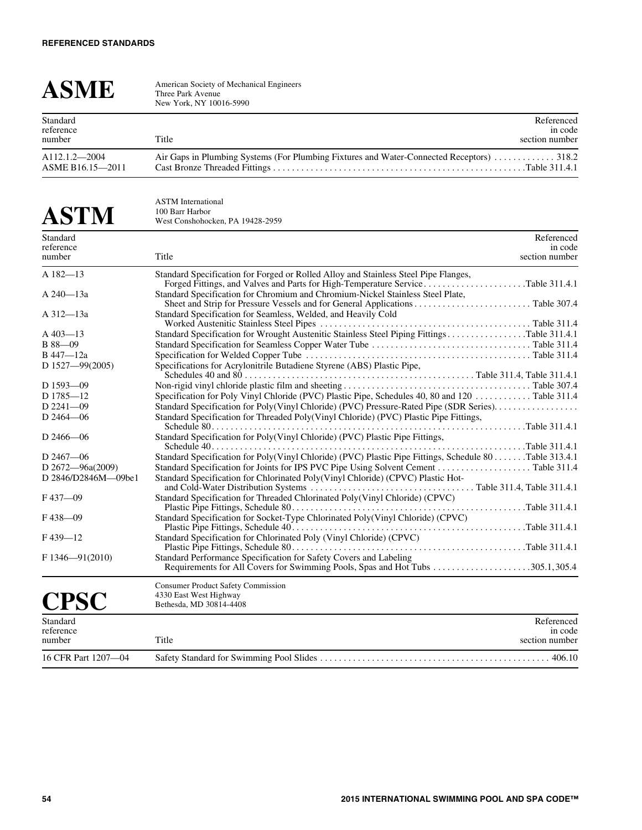| <b>ASME</b>                           | American Society of Mechanical Engineers<br>Three Park Avenue<br>New York, NY 10016-5990  |                                         |
|---------------------------------------|-------------------------------------------------------------------------------------------|-----------------------------------------|
| Standard<br>reference<br>number       | Title                                                                                     | Referenced<br>in code<br>section number |
| $A112.1.2 - 2004$<br>ASME B16.15-2011 | Air Gaps in Plumbing Systems (For Plumbing Fixtures and Water-Connected Receptors)  318.2 |                                         |

## **ASTM** ASTM International 100 Barr Harbor West Conshohocken, PA 19428-2959

| Standard             | Referenced                                                                                                                                                             |
|----------------------|------------------------------------------------------------------------------------------------------------------------------------------------------------------------|
| reference<br>number  | in code<br>Title<br>section number                                                                                                                                     |
|                      |                                                                                                                                                                        |
| A 182-13             | Standard Specification for Forged or Rolled Alloy and Stainless Steel Pipe Flanges,<br>Forged Fittings, and Valves and Parts for High-Temperature ServiceTable 311.4.1 |
| A 240-13a            | Standard Specification for Chromium and Chromium-Nickel Stainless Steel Plate,                                                                                         |
| A 312-13a            | Standard Specification for Seamless, Welded, and Heavily Cold                                                                                                          |
| $A$ 403 $-13$        | Standard Specification for Wrought Austenitic Stainless Steel Piping FittingsTable 311.4.1                                                                             |
| $B88 - 09$           |                                                                                                                                                                        |
| B 447-12a            |                                                                                                                                                                        |
| D $1527 - 99(2005)$  | Specifications for Acrylonitrile Butadiene Styrene (ABS) Plastic Pipe,                                                                                                 |
| $D$ 1593-09          |                                                                                                                                                                        |
| D 1785-12            | Specification for Poly Vinyl Chloride (PVC) Plastic Pipe, Schedules 40, 80 and 120 Table 311.4                                                                         |
| $D$ 2241-09          |                                                                                                                                                                        |
| $D$ 2464 $-$ 06      | Standard Specification for Threaded Poly(Vinyl Chloride) (PVC) Plastic Pipe Fittings,                                                                                  |
|                      |                                                                                                                                                                        |
| D $2466 - 06$        | Standard Specification for Poly(Vinyl Chloride) (PVC) Plastic Pipe Fittings,                                                                                           |
| D $2467 - 06$        | Standard Specification for Poly(Vinyl Chloride) (PVC) Plastic Pipe Fittings, Schedule 80Table 313.4.1                                                                  |
| D $2672 - 96a(2009)$ |                                                                                                                                                                        |
| D 2846/D2846M-09be1  | Standard Specification for Chlorinated Poly(Vinyl Chloride) (CPVC) Plastic Hot-                                                                                        |
| $F437 - 09$          | Standard Specification for Threaded Chlorinated Poly(Vinyl Chloride) (CPVC)                                                                                            |
| $F438 - 09$          | Standard Specification for Socket-Type Chlorinated Poly(Vinyl Chloride) (CPVC)                                                                                         |
| $F439 - 12$          | Standard Specification for Chlorinated Poly (Vinyl Chloride) (CPVC)                                                                                                    |
| $F1346 - 91(2010)$   | Standard Performance Specification for Safety Covers and Labeling                                                                                                      |
|                      | <b>Consumer Product Safety Commission</b>                                                                                                                              |
| <b>CPSC</b>          | 4330 East West Highway<br>Bethesda, MD 30814-4408                                                                                                                      |
| Standard             | Referenced                                                                                                                                                             |
| reference<br>number  | in code<br>Title<br>section number                                                                                                                                     |
| 16 CFR Part 1207-04  |                                                                                                                                                                        |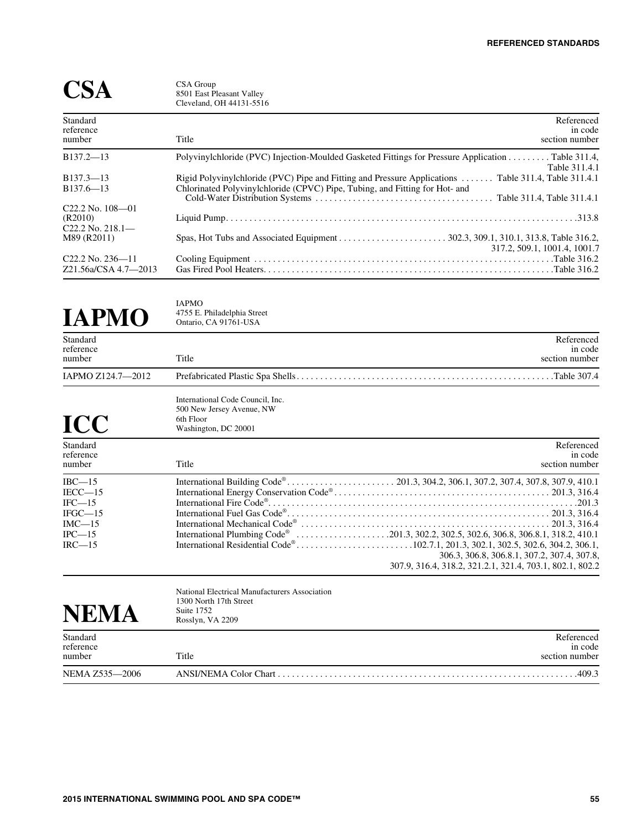317.2, 509.1, 1001.4, 1001.7

|                                                         | CSA Group<br>8501 East Pleasant Valley<br>Cleveland, OH 44131-5516                                                    |
|---------------------------------------------------------|-----------------------------------------------------------------------------------------------------------------------|
| Standard<br>reference<br>number                         | Referenced<br>in code<br>Title<br>section number                                                                      |
| $B137.2 - 13$                                           | Polyvinylchloride (PVC) Injection-Moulded Gasketed Fittings for Pressure Application Table 311.4,                     |
| $B137.3 - 13$                                           | Table 311.4.1<br>Rigid Polyvinylchloride (PVC) Pipe and Fitting and Pressure Applications  Table 311.4. Table 311.4.1 |
| $B137.6 - 13$                                           | Chlorinated Polyvinylchloride (CPVC) Pipe, Tubing, and Fitting for Hot- and                                           |
|                                                         |                                                                                                                       |
| $C22.2$ No. $108 - 01$<br>(R2010)<br>$C22.2$ No. 218.1- |                                                                                                                       |
| M89 (R2011)                                             |                                                                                                                       |

C22.2 No. 236—11 Cooling Equipment . . . . . . . . . . . . . . . . . . . . . . . . . . . . . . . . . . . . . . . . . . . . . . . . . . . . . . . . . . . . . . . .Table 316.2

## **IAPMO**

IAPMO 4755 E. Philadelphia Street Ontario, CA 91761-USA

| Standard<br>reference<br>number                                                       | Title                                                                                              | Referenced<br>in code<br>section number                                                                                                                                                          |
|---------------------------------------------------------------------------------------|----------------------------------------------------------------------------------------------------|--------------------------------------------------------------------------------------------------------------------------------------------------------------------------------------------------|
| IAPMO Z124.7-2012                                                                     |                                                                                                    |                                                                                                                                                                                                  |
| <b>ICC</b>                                                                            | International Code Council, Inc.<br>500 New Jersey Avenue, NW<br>6th Floor<br>Washington, DC 20001 |                                                                                                                                                                                                  |
| Standard<br>reference<br>number                                                       | Title                                                                                              | Referenced<br>in code<br>section number                                                                                                                                                          |
| $IBC-15$<br>$IECC - 15$<br>$IFC-15$<br>$IFGC-15$<br>$IMC-15$<br>$IPC$ —15<br>$IRC-15$ |                                                                                                    | International Plumbing Code® 201.3, 302.2, 302.5, 302.6, 306.8, 306.8.1, 318.2, 410.1<br>306.3, 306.8, 306.8.1, 307.2, 307.4, 307.8,<br>307.9, 316.4, 318.2, 321.2.1, 321.4, 703.1, 802.1, 802.2 |

Z21.56a/CSA 4.7—2013 Gas Fired Pool Heaters. . . . . . . . . . . . . . . . . . . . . . . . . . . . . . . . . . . . . . . . . . . . . . . . . . . . . . . . . . . . . .Table 316.2

| NEM                   | National Electrical Manufacturers Association<br>1300 North 17th Street<br>Suite 1752<br>Rosslyn, VA 2209 |                       |
|-----------------------|-----------------------------------------------------------------------------------------------------------|-----------------------|
| Standard<br>reference |                                                                                                           | Referenced<br>in code |
| number                | Title                                                                                                     | section number        |
| NEMA Z535-2006        |                                                                                                           | 409.3                 |